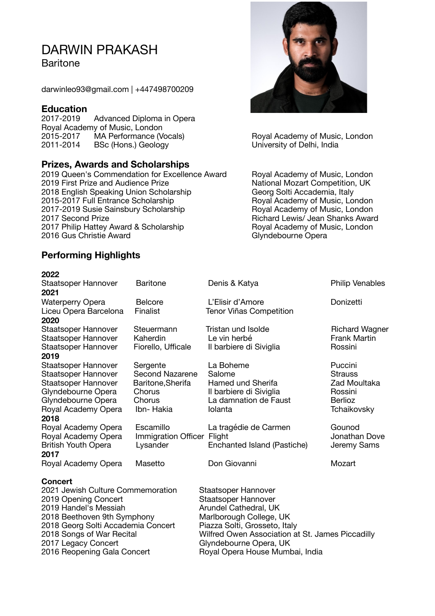## DARWIN PRAKASH

**Baritone** 

darwinleo93@gmail.com | +447498700209

# **Education**<br>2017-2019

Advanced Diploma in Opera Royal Academy of Music, London<br>2015-2017 MA Performance (Vocals) 2015-2017 MA Performance (Vocals) Royal Academy of Music, London<br>
2011-2014 BSc (Hons.) Geology Communication Christophersity of Delhi, India **2012** BSc (Hons.) Geology **and Sc (Hons.)** Geology **b** University of Delhi, India

#### **Prizes, Awards and Scholarships**

2019 Queen's Commendation for Excellence Award Royal Academy of Music, London 2019 First Prize and Audience Prize<br>
2018 English Speaking Union Scholarship<br>
2018 English Speaking Union Scholarship<br>
2018 English Speaking Union Scholarship<br>
2018 English Speaking Union Scholarship 2018 English Speaking Union Scholarship **Georg Solti Accademia, Italy**<br>
2015-2017 Full Entrance Scholarship **Conney Scholats Academy of Music, London** 2015-2017 Full Entrance Scholarship 2017-2019 Susie Sainsbury Scholarship **Royal Academy of Music, London** 2017 Second Prize *Prize* **Richard Lewis** Jean Shanks Award 2017 Philip Hattey Award & Scholarship **Royal Academy of Music, London** 2016 Gus Christie Award **Business Christie Award Christie Award Christie Award Christie Award Christie Award Christie Award Christie Award Christie Award Christie Award Christie Award Christie Award C** 



### **2022**



| LULL                                          |                            |                                                  |                        |
|-----------------------------------------------|----------------------------|--------------------------------------------------|------------------------|
| Staatsoper Hannover                           | <b>Baritone</b>            | Denis & Katya                                    | <b>Philip Venables</b> |
| 2021                                          |                            |                                                  |                        |
| <b>Waterperry Opera</b>                       | <b>Belcore</b>             | L'Elisir d'Amore                                 | Donizetti              |
| Liceu Opera Barcelona                         | Finalist                   | <b>Tenor Viñas Competition</b>                   |                        |
| 2020                                          |                            |                                                  |                        |
| Staatsoper Hannover                           | Steuermann                 | Tristan und Isolde                               | <b>Richard Wagner</b>  |
| Staatsoper Hannover                           | Kaherdin                   | Le vin herbé                                     | <b>Frank Martin</b>    |
| Staatsoper Hannover                           | Fiorello, Ufficale         | Il barbiere di Siviglia                          | Rossini                |
| 2019                                          |                            |                                                  |                        |
| Staatsoper Hannover                           | Sergente                   | La Boheme                                        | Puccini                |
| Staatsoper Hannover                           | <b>Second Nazarene</b>     | Salome                                           | <b>Strauss</b>         |
| Staatsoper Hannover                           | Baritone, Sherifa          | Hamed und Sherifa                                | Zad Moultaka           |
| Glyndebourne Opera                            | Chorus                     | Il barbiere di Siviglia                          | Rossini                |
| Glyndebourne Opera                            | Chorus                     | La damnation de Faust                            | <b>Berlioz</b>         |
| Royal Academy Opera                           | Ibn- Hakia                 | Iolanta                                          | Tchaikovsky            |
| 2018                                          |                            |                                                  |                        |
| Royal Academy Opera                           | Escamillo                  | La tragédie de Carmen                            | Gounod                 |
| Royal Academy Opera                           | Immigration Officer Flight |                                                  | Jonathan Dove          |
| <b>British Youth Opera</b>                    | Lysander                   | Enchanted Island (Pastiche)                      | Jeremy Sams            |
| 2017                                          |                            |                                                  |                        |
| Royal Academy Opera                           | Masetto                    | Don Giovanni                                     | Mozart                 |
|                                               |                            |                                                  |                        |
| <b>Concert</b>                                |                            |                                                  |                        |
| 2021 Jewish Culture Commemoration             |                            | Staatsoper Hannover                              |                        |
| 2019 Opening Concert<br>2019 Handel's Messiah |                            | <b>Staatsoper Hannover</b>                       |                        |
|                                               |                            | Arundel Cathedral, UK                            |                        |
| 2018 Beethoven 9th Symphony                   |                            | Marlborough College, UK                          |                        |
| 2018 Georg Solti Accademia Concert            |                            | Piazza Solti, Grosseto, Italy                    |                        |
| 2018 Songs of War Recital                     |                            | Wilfred Owen Association at St. James Piccadilly |                        |
| 2017 Legacy Concert                           |                            | Glyndebourne Opera, UK                           |                        |
| 2016 Reopening Gala Concert                   |                            | Royal Opera House Mumbai, India                  |                        |